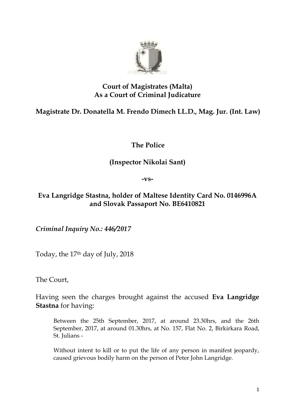

## **Court of Magistrates (Malta) As a Court of Criminal Judicature**

**Magistrate Dr. Donatella M. Frendo Dimech LL.D., Mag. Jur. (Int. Law)**

**The Police**

## **(Inspector Nikolai Sant)**

**-vs-**

## **Eva Langridge Stastna, holder of Maltese Identity Card No. 0146996A and Slovak Passaport No. BE6410821**

*Criminal Inquiry No.: 446/2017*

Today, the 17th day of July, 2018

The Court,

Having seen the charges brought against the accused **Eva Langridge Stastna** for having:

Between the 25th September, 2017, at around 23.30hrs, and the 26th September, 2017, at around 01.30hrs, at No. 157, Flat No. 2, Birkirkara Road, St. Julians -

Without intent to kill or to put the life of any person in manifest jeopardy, caused grievous bodily harm on the person of Peter John Langridge.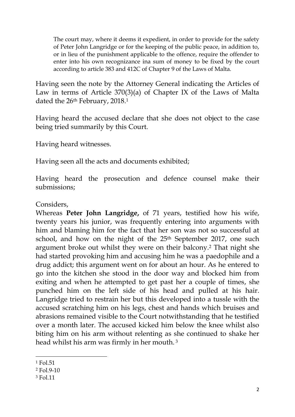The court may, where it deems it expedient, in order to provide for the safety of Peter John Langridge or for the keeping of the public peace, in addition to, or in lieu of the punishment applicable to the offence, require the offender to enter into his own recognizance ina sum of money to be fixed by the court according to article 383 and 412C of Chapter 9 of the Laws of Malta.

Having seen the note by the Attorney General indicating the Articles of Law in terms of Article 370(3)(a) of Chapter IX of the Laws of Malta dated the 26<sup>th</sup> February, 2018.<sup>1</sup>

Having heard the accused declare that she does not object to the case being tried summarily by this Court.

Having heard witnesses.

Having seen all the acts and documents exhibited;

Having heard the prosecution and defence counsel make their submissions;

Considers,

Whereas **Peter John Langridge,** of 71 years, testified how his wife, twenty years his junior, was frequently entering into arguments with him and blaming him for the fact that her son was not so successful at school, and how on the night of the 25<sup>th</sup> September 2017, one such argument broke out whilst they were on their balcony.<sup>2</sup> That night she had started provoking him and accusing him he was a paedophile and a drug addict; this argument went on for about an hour. As he entered to go into the kitchen she stood in the door way and blocked him from exiting and when he attempted to get past her a couple of times, she punched him on the left side of his head and pulled at his hair. Langridge tried to restrain her but this developed into a tussle with the accused scratching him on his legs, chest and hands which bruises and abrasions remained visible to the Court notwithstanding that he testified over a month later. The accused kicked him below the knee whilst also biting him on his arm without relenting as she continued to shake her head whilst his arm was firmly in her mouth. <sup>3</sup>

<sup>1</sup> Fol.51

<sup>2</sup> Fol.9-10

<sup>3</sup> Fol.11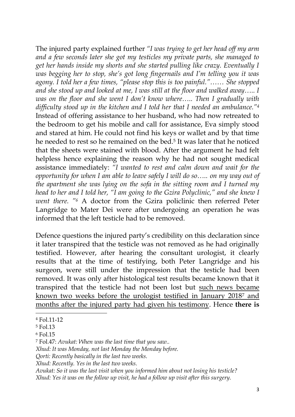The injured party explained further *"I was trying to get her head off my arm and a few seconds later she got my testicles my private parts, she managed to get her hands inside my shorts and she started pulling like crazy. Eventually I was begging her to stop, she's got long fingernails and I'm telling you it was agony. I told her a few times, "please stop this is too painful."…… She stopped and she stood up and looked at me, I was still at the floor and walked away….. I was on the floor and she went I don't know where….. Then I gradually with difficulty stood up in the kitchen and I told her that I needed an ambulance."<sup>4</sup>* Instead of offering assistance to her husband, who had now retreated to the bedroom to get his mobile and call for assistance, Eva simply stood and stared at him. He could not find his keys or wallet and by that time he needed to rest so he remained on the bed.<sup>5</sup> It was later that he noticed that the sheets were stained with blood. After the argument he had felt helpless hence explaining the reason why he had not sought medical assistance immediately: *"I wanted to rest and calm down and wait for the opportunity for when I am able to leave safely I will do so….. on my way out of the apartment she was lying on the sofa in the sitting room and I turned my head to her and I told her, "I am going to the Gzira Polyclinic," and she knew I went there. "<sup>6</sup>* A doctor from the Gzira policlinic then referred Peter Langridge to Mater Dei were after undergoing an operation he was informed that the left testicle had to be removed.

Defence questions the injured party's credibility on this declaration since it later transpired that the testicle was not removed as he had originally testified. However, after hearing the consultant urologist, it clearly results that at the time of testifying, both Peter Langridge and his surgeon, were still under the impression that the testicle had been removed. It was only after histological test results became known that it transpired that the testicle had not been lost but such news became known two weeks before the urologist testified in January 2018<sup>7</sup> and months after the injured party had given his testimony. Hence **there is** 

1

*Avukat: So it was the last visit when you informed him about not losing his testicle? Xhud: Yes it was on the follow up visit, he had a follow up visit after this surgery.*

<sup>4</sup> Fol.11-12

<sup>5</sup> Fol.13

<sup>6</sup> Fol.15

<sup>7</sup> Fol.47: *Avukat: When was the last time that you saw..*

*Xhud: It was Monday, not last Monday the Monday before.*

*Qorti: Recently basically in the last two weeks.*

*Xhud: Recently. Yes in the last two weeks.*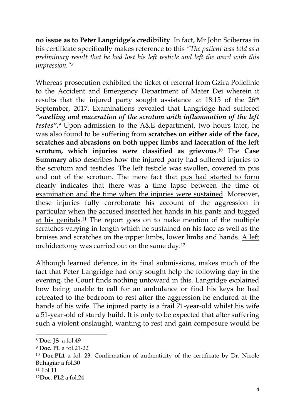**no issue as to Peter Langridge's credibility**. In fact, Mr John Sciberras in his certificate specifically makes reference to this *"The patient was told as a preliminary result that he had lost his left testicle and left the ward with this impression."<sup>8</sup>*

Whereas prosecution exhibited the ticket of referral from Gzira Policlinic to the Accident and Emergency Department of Mater Dei wherein it results that the injured party sought assistance at 18:15 of the 26th September, 2017. Examinations revealed that Langridge had suffered *"swelling and maceration of the scrotum with inflammation of the left testes".***<sup>9</sup>** Upon admission to the A&E department, two hours later, he was also found to be suffering from **scratches on either side of the face, scratches and abrasions on both upper limbs and laceration of the left scrotum, which injuries were classified as grievous**. <sup>10</sup> The **Case Summary** also describes how the injured party had suffered injuries to the scrotum and testicles. The left testicle was swollen, covered in pus and out of the scrotum. The mere fact that pus had started to form clearly indicates that there was a time lapse between the time of examination and the time when the injuries were sustained. Moreover, these injuries fully corroborate his account of the aggression in particular when the accused inserted her hands in his pants and tugged at his genitals.<sup>11</sup> The report goes on to make mention of the multiple scratches varying in length which he sustained on his face as well as the bruises and scratches on the upper limbs, lower limbs and hands. A left orchidectomy was carried out on the same day.<sup>12</sup>

Although learned defence, in its final submissions, makes much of the fact that Peter Langridge had only sought help the following day in the evening, the Court finds nothing untoward in this. Langridge explained how being unable to call for an ambulance or find his keys he had retreated to the bedroom to rest after the aggression he endured at the hands of his wife. The injured party is a frail 71-year-old whilst his wife a 51-year-old of sturdy build. It is only to be expected that after suffering such a violent onslaught, wanting to rest and gain composure would be

<sup>8</sup> **Doc. JS** a fol.49

<sup>9</sup> **Doc. PL** a fol.21-22

<sup>10</sup> **Doc.PL1** a fol. 23. Confirmation of authenticity of the certificate by Dr. Nicole Buhagiar a fol.30

<sup>11</sup> Fol.11

<sup>12</sup>**Doc. PL2** a fol.24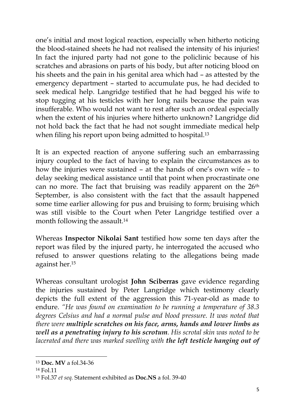one's initial and most logical reaction, especially when hitherto noticing the blood-stained sheets he had not realised the intensity of his injuries! In fact the injured party had not gone to the policlinic because of his scratches and abrasions on parts of his body, but after noticing blood on his sheets and the pain in his genital area which had – as attested by the emergency department – started to accumulate pus, he had decided to seek medical help. Langridge testified that he had begged his wife to stop tugging at his testicles with her long nails because the pain was insufferable. Who would not want to rest after such an ordeal especially when the extent of his injuries where hitherto unknown? Langridge did not hold back the fact that he had not sought immediate medical help when filing his report upon being admitted to hospital.<sup>13</sup>

It is an expected reaction of anyone suffering such an embarrassing injury coupled to the fact of having to explain the circumstances as to how the injuries were sustained – at the hands of one's own wife – to delay seeking medical assistance until that point when procrastinate one can no more. The fact that bruising was readily apparent on the 26<sup>th</sup> September, is also consistent with the fact that the assault happened some time earlier allowing for pus and bruising to form; bruising which was still visible to the Court when Peter Langridge testified over a month following the assault. 14

Whereas **Inspector Nikolai Sant** testified how some ten days after the report was filed by the injured party, he interrogated the accused who refused to answer questions relating to the allegations being made against her.<sup>15</sup>

Whereas consultant urologist **John Sciberras** gave evidence regarding the injuries sustained by Peter Langridge which testimony clearly depicts the full extent of the aggression this 71-year-old as made to endure. *"He was found on examination to be running a temperature of 38.3 degrees Celsius and had a normal pulse and blood pressure. It was noted that there were multiple scratches on his face, arms, hands and lower limbs as well as a penetrating injury to his scrotum. His scrotal skin was noted to be lacerated and there was marked swelling with the left testicle hanging out of* 

<sup>13</sup> **Doc. MV** a fol.34-36

<sup>14</sup> Fol.11

<sup>15</sup> Fol.37 *et seq.* Statement exhibited as **Doc.NS** a fol. 39-40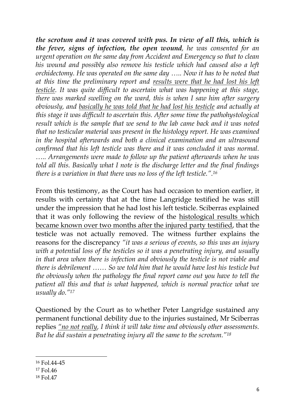*the scrotum and it was covered with pus. In view of all this, which is the fever, signs of infection, the open wound, he was consented for an urgent operation on the same day from Accident and Emergency so that to clean his wound and possibly also remove his testicle which had caused also a left orchidectomy. He was operated on the same day ….. Now it has to be noted that at this time the preliminary report and results were that he had lost his left testicle. It was quite difficult to ascertain what was happening at this stage, there was marked swelling on the ward, this is when I saw him after surgery obviously, and basically he was told that he had lost his testicle and actually at this stage it was difficult to ascertain this. After some time the pathohystological result which is the sample that we send to the lab came back and it was noted that no testicular material was present in the histology report. He was examined in the hospital afterwards and both a clinical examination and an ultrasound confirmed that his left testicle was there and it was concluded it was normal. ….. Arrangements were made to follow up the patient afterwards when he was told all this. Basically what I note is the discharge letter and the final findings there is a variation in that there was no loss of the left testicle.".<sup>16</sup>*

From this testimony, as the Court has had occasion to mention earlier, it results with certainty that at the time Langridge testified he was still under the impression that he had lost his left testicle. Sciberras explained that it was only following the review of the histological results which became known over two months after the injured party testified, that the testicle was not actually removed. The witness further explains the reasons for the discrepancy *"it was a serious of events, so this was an injury with a potential loss of the testicles so it was a penetrating injury, and usually in that area when there is infection and obviously the testicle is not viable and there is debrilement …… So we told him that he would have lost his testicle but the obviously when the pathology the final report came out you have to tell the patient all this and that is what happened, which is normal practice what we usually do."<sup>17</sup>*

Questioned by the Court as to whether Peter Langridge sustained any permanent functional debility due to the injuries sustained, Mr Sciberras replies *"no not really, I think it will take time and obviously other assessments. But he did sustain a penetrating injury all the same to the scrotum."<sup>18</sup>*

<sup>16</sup> Fol.44-45

<sup>17</sup> Fol.46

<sup>18</sup> Fol.47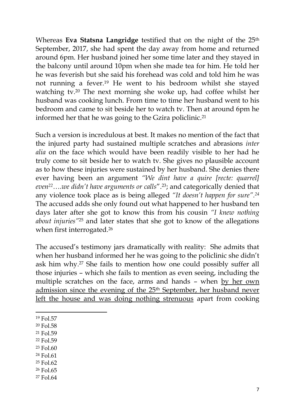Whereas **Eva Statsna Langridge** testified that on the night of the 25<sup>th</sup> September, 2017, she had spent the day away from home and returned around 6pm. Her husband joined her some time later and they stayed in the balcony until around 10pm when she made tea for him. He told her he was feverish but she said his forehead was cold and told him he was not running a fever.<sup>19</sup> He went to his bedroom whilst she stayed watching tv.<sup>20</sup> The next morning she woke up, had coffee whilst her husband was cooking lunch. From time to time her husband went to his bedroom and came to sit beside her to watch tv. Then at around 6pm he informed her that he was going to the Gzira policlinic.<sup>21</sup>

Such a version is incredulous at best. It makes no mention of the fact that the injured party had sustained multiple scratches and abrasions *inter alia* on the face which would have been readily visible to her had he truly come to sit beside her to watch tv. She gives no plausible account as to how these injuries were sustained by her husband. She denies there ever having been an argument *"We dint have a quire [recte: quarrel] even22….we didn't have arguments or calls*".23; and categorically denied that any violence took place as is being alleged *"It doesn't happen for sure".<sup>24</sup>* The accused adds she only found out what happened to her husband ten days later after she got to know this from his cousin *"I knew nothing about injuries"*<sup>25</sup> and later states that she got to know of the allegations when first interrogated.<sup>26</sup>

The accused's testimony jars dramatically with reality: She admits that when her husband informed her he was going to the policlinic she didn't ask him why.<sup>27</sup> She fails to mention how one could possibly suffer all those injuries – which she fails to mention as even seeing, including the multiple scratches on the face, arms and hands – when by her own admission since the evening of the 25<sup>th</sup> September, her husband never left the house and was doing nothing strenuous apart from cooking

1

- <sup>20</sup> Fol.58
- <sup>21</sup> Fol.59
- <sup>22</sup> Fol.59
- <sup>23</sup> Fol.60
- <sup>24</sup> Fol.61
- <sup>25</sup> Fol.62
- <sup>26</sup> Fol.65
- <sup>27</sup> Fol.64

<sup>19</sup> Fol.57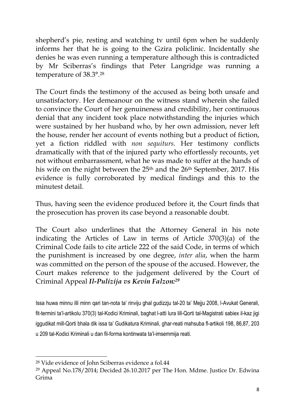shepherd's pie, resting and watching tv until 6pm when he suddenly informs her that he is going to the Gzira policlinic. Incidentally she denies he was even running a temperature although this is contradicted by Mr Sciberras's findings that Peter Langridge was running a temperature of 38.3°.<sup>28</sup>

The Court finds the testimony of the accused as being both unsafe and unsatisfactory. Her demeanour on the witness stand wherein she failed to convince the Court of her genuineness and credibility, her continuous denial that any incident took place notwithstanding the injuries which were sustained by her husband who, by her own admission, never left the house, render her account of events nothing but a product of fiction, yet a fiction riddled with *non sequiturs.* Her testimony conflicts dramatically with that of the injured party who effortlessly recounts, yet not without embarrassment, what he was made to suffer at the hands of his wife on the night between the 25<sup>th</sup> and the 26<sup>th</sup> September, 2017. His evidence is fully corroborated by medical findings and this to the minutest detail.

Thus, having seen the evidence produced before it, the Court finds that the prosecution has proven its case beyond a reasonable doubt.

The Court also underlines that the Attorney General in his note indicating the Articles of Law in terms of Article 370(3)(a) of the Criminal Code fails to cite article 222 of the said Code, in terms of which the punishment is increased by one degree, *inter alia*, when the harm was committed on the person of the spouse of the accused. However, the Court makes reference to the judgement delivered by the Court of Criminal Appeal *Il-Pulizija vs Kevin Falzon:<sup>29</sup>*

Issa huwa minnu illi minn qari tan-nota ta' rinviju ghal gudizzju tal-20 ta' Mejju 2008, l-Avukat Generali, fit-termini ta'l-artikolu 370(3) tal-Kodici Kriminali, baghat l-atti lura lill-Qorti tal-Magistrati sabiex il-kaz jigi iggudikat mill-Qorti bhala dik issa ta' Gudikatura Kriminali, ghar-reati mahsuba fl-artikoli 198, 86,87, 203 u 209 tal-Kodici Kriminali u dan fil-forma kontinwata ta'l-imsemmija reati.

<sup>28</sup> Vide evidence of John Sciberras evidence a fol.44

<sup>29</sup> Appeal No.178/2014; Decided 26.10.2017 per The Hon. Mdme. Justice Dr. Edwina Grima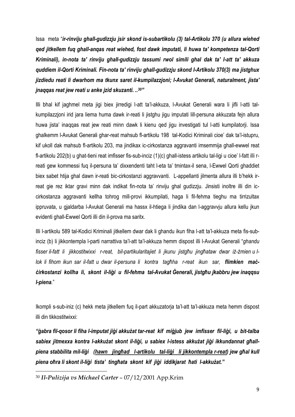Issa meta "*ir-rinviju ghall-gudizzju jsir skond is-subartikolu (3) tal-Artikolu 370 (u allura wiehed qed jitkellem fuq ghall-anqas reat wiehed, fost dawk imputati, li huwa ta' kompetenza tal-Qorti Kriminali), in-nota ta' rinviju ghall-gudizzju tassumi rwol simili ghal dak ta' l-att ta' akkuza quddiem il-Qorti Kriminali. Fin-nota ta' rinviju ghall-gudizzju skond l-Artikolu 370(3) ma jistghux jizdiedu reati li dwarhom ma tkunx saret il-kumpilazzjoni; l-Avukat Generali, naturalment, jista' jnaqqas reat jew reati u anke jzid skuzanti. ..30"*

Illi bhal kif jaghmel meta jigi biex jirredigi l-att ta'l-akkuza, l-Avukat Generali wara li jifli l-atti talkumpilazzjoni irid jara liema huma dawk ir-reati li jistghu jigu imputati lill-persuna akkuzata fejn allura huwa jista' inaqqas reat jew reati minn dawk li kienu qed jigu investigati tul l-atti kumpilatorji. Issa ghalkemm l-Avukat Generali ghar-reat mahsub fl-artikolu 198 tal-Kodici Kriminali cioe' dak ta'l-istupru, kif ukoll dak mahsub fl-artikolu 203, ma jindikax ic-cirkostanza aggravanti imsemmija ghall-ewwel reat fl-artikolu 202(b) u ghat-tieni reat imfisser fis-sub-inciz (1)(c) ghall-istess artikolu tal-ligi u cioe' l-fatt illi rreati gew kommessi fuq il-persuna ta' dixxendenti taht l-eta ta' tmintax-il sena, l-Ewwel Qorti ghaddiet biex sabet htija ghal dawn ir-reati bic-cirkostanzi aggravvanti. L-appellanti jilmenta allura illi b'hekk irreat gie rez iktar gravi minn dak indikat fin-nota ta' rinviju ghal gudizzju. Jinsisti inoltre illi din iccirkostanza aggravanti kellha tohrog mill-provi ikkumpilati, haga li fil-fehma tieghu ma tirrizultax ippruvata, u gjaldarba l-Avukat Generali ma hassx il-htiega li jindika dan l-aggravvju allura kellu jkun evidenti ghall-Ewwel Qorti illi din il-prova ma saritx.

Illi l-artikolu 589 tal-Kodici Kriminali jitkellem dwar dak li ghandu ikun fiha l-att ta'l-akkuza meta fis-subinciz (b) li jikkontempla l-parti narrattiva ta'l-att ta'l-akkuza hemm dispost illi l-Avukat Generali "*ghandu fisser il-fatt li jikkostitwixxi r-reat, bil-partikularitajiet li jkunu jistgħu jingħataw dwar iż-żmien u llok li fihom ikun sar il-fatt u dwar il-persuna li kontra tagħha r-reat ikun sar, flimkien maċċirkostanzi kollha li, skont il-liġi u fil-fehma tal-Avukat Ġenerali, jistgħu jkabbru jew inaqqsu l-piena.*"

Ikompli s-sub-iniz (c) hekk meta jitkellem fuq il-part akkuzatorja ta'l-att ta'l-akkuza meta hemm dispost illi din tikkostitwixxi:

*"ġabra fil-qosor li fiha l-imputat jiġi akkużat tar-reat kif miġjub jew imfisser fil-liġi, u bit-talba sabiex jitmexxa kontra l-akkużat skont il-liġi, u sabiex l-istess akkużat jiġi ikkundannat għallpiena stabbilita mil-liġi (hawn jingħad l-artikolu tal-liġi li jikkontempla r-reat) jew għal kull piena oħra li skont il-liġi tista' tingħata skont kif jiġi iddikjarat ħati l-akkużat."*

<sup>30</sup> *Il-Pulizija vs Michael Carter* – 07/12/2001 App.Krim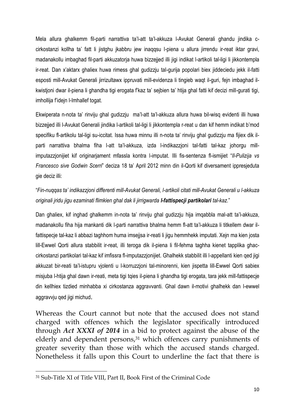Mela allura ghalkemm fil-parti narrattiva ta'l-att ta'l-akkuza l-Avukat Generali ghandu jindika ccirkostanzi kollha ta' fatt li jistghu jkabbru jew inaqqsu l-piena u allura jirrendu ir-reat iktar gravi, madanakollu imbaghad fil-parti akkuzatorja huwa bizzejjed illi jigi indikat l-artikoli tal-ligi li jikkontempla ir-reat. Dan x'aktarx ghaliex huwa rimess ghal gudizzju tal-gurija popolari biex jiddeciedu jekk il-fatti esposti mill-Avukat Generali jirrizultawx ippruvati mill-evidenza li tingieb waqt il-guri, fejn imbaghad ilkwistjoni dwar il-piena li ghandha tigi erogata f'kaz ta' sejbien ta' htija ghal fatti kif decizi mill-gurati tigi, imhollija f'idejn l-Imhallef togat.

Ekwiperata n-nota ta' rinviju ghal gudizzju ma'l-att ta'l-akkuza allura huwa bil-wisq evidenti illi huwa bizzejjed illi l-Avukat Generali jindika l-artikoli tal-ligi li jikkontempla r-reat u dan kif hemm indikat b'mod specifiku fl-artikolu tal-ligi su-iccitat. Issa huwa minnu illi n-nota ta' rinviju ghal gudizzju ma fijiex dik ilparti narrattiva bhalma fiha l-att ta'l-akkuza, izda l-indikazzjoni tal-fatti tal-kaz johorgu millimputazzjonijiet kif originarjament mfassla kontra l-imputat. Illi fis-sentenza fl-ismijiet "*Il-Pulizija vs Francesco sive Godwin Scerri*" deciza 18 ta' April 2012 minn din il-Qorti kif diversament ippresjeduta gie deciz illi:

"*Fin-nuqqas ta' indikazzjoni differenti mill-Avukat Generali, l-artikoli citati mill-Avukat Generali u l-akkuza originali jridu jigu ezaminati flimkien ghal dak li jirrigwarda l-fattispecji partikolari tal-kaz.*"

Dan ghaliex, kif inghad ghalkemm in-nota ta' rinviju ghal gudizzju hija imqabbla mal-att ta'l-akkuza, madanakollu fiha hija mankanti dik l-parti narrattiva bhalma hemm fl-att ta'l-akkuza li titkellem dwar ilfattispecje tal-kaz li abbazi taghhom huma imsejjsa ir-reati li jigu hemmhekk imputati. Xejn ma kien josta lill-Ewwel Qorti allura stabbilit ir-reat, illi teroga dik il-piena li fil-fehma taghha kienet tapplika ghaccirkostanzi partikolari tal-kaz kif imfissra fl-imputazzjonijiet. Ghalhekk stabbilit illi l-appellanti kien qed jigi akkuzat bir-reati ta'l-istupru vjolenti u l-korruzzjoni tal-minorenni, kien jispetta lill-Ewwel Qorti sabiex misjuba l-htija ghal dawn ir-reati, meta tigi tqies il-piena li ghandha tigi erogata, tara jekk mill-fattispecje din kellhiex tizdied minhabba xi cirkostanza aggravvanti. Ghal dawn il-motivi ghalhekk dan l-ewwel aggravvju qed jigi michud.

Whereas the Court cannot but note that the accused does not stand charged with offences which the legislator specifically introduced through *Act XXXI of 2014* in a bid to protect against the abuse of the elderly and dependent persons,<sup>31</sup> which offences carry punishments of greater severity than those with which the accused stands charged. Nonetheless it falls upon this Court to underline the fact that there is

<sup>31</sup> Sub-Title XI of Title VIII, Part II, Book First of the Criminal Code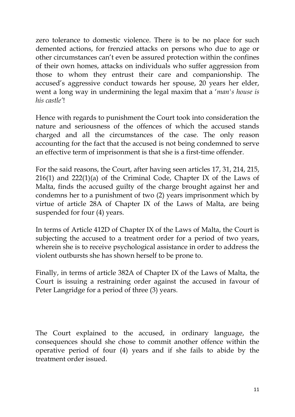zero tolerance to domestic violence. There is to be no place for such demented actions, for frenzied attacks on persons who due to age or other circumstances can't even be assured protection within the confines of their own homes, attacks on individuals who suffer aggression from those to whom they entrust their care and companionship. The accused's aggressive conduct towards her spouse, 20 years her elder, went a long way in undermining the legal maxim that a '*man's house is his castle'*!

Hence with regards to punishment the Court took into consideration the nature and seriousness of the offences of which the accused stands charged and all the circumstances of the case. The only reason accounting for the fact that the accused is not being condemned to serve an effective term of imprisonment is that she is a first-time offender.

For the said reasons, the Court, after having seen articles 17, 31, 214, 215, 216(1) and 222(1)(a) of the Criminal Code, Chapter IX of the Laws of Malta, finds the accused guilty of the charge brought against her and condemns her to a punishment of two (2) years imprisonment which by virtue of article 28A of Chapter IX of the Laws of Malta, are being suspended for four (4) years.

In terms of Article 412D of Chapter IX of the Laws of Malta, the Court is subjecting the accused to a treatment order for a period of two years, wherein she is to receive psychological assistance in order to address the violent outbursts she has shown herself to be prone to.

Finally, in terms of article 382A of Chapter IX of the Laws of Malta, the Court is issuing a restraining order against the accused in favour of Peter Langridge for a period of three (3) years.

The Court explained to the accused, in ordinary language, the consequences should she chose to commit another offence within the operative period of four (4) years and if she fails to abide by the treatment order issued.